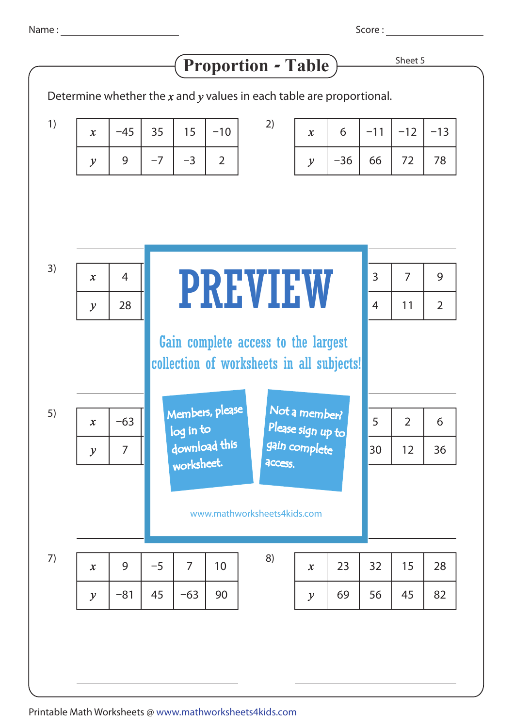